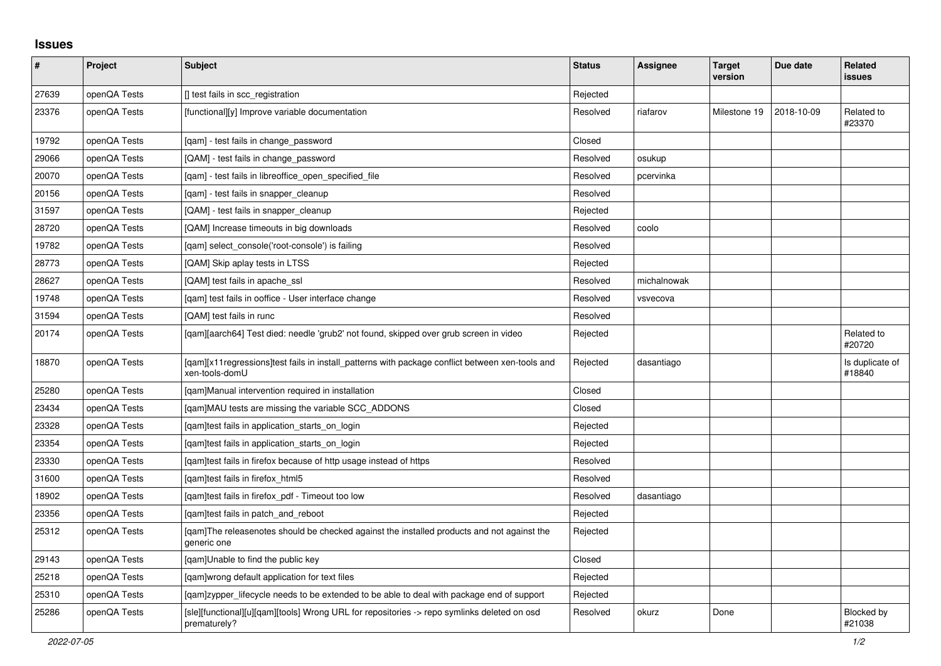## **Issues**

| #     | Project      | <b>Subject</b>                                                                                                     | <b>Status</b> | Assignee    | <b>Target</b><br>version | Due date   | <b>Related</b><br>issues    |
|-------|--------------|--------------------------------------------------------------------------------------------------------------------|---------------|-------------|--------------------------|------------|-----------------------------|
| 27639 | openQA Tests | [] test fails in scc_registration                                                                                  | Rejected      |             |                          |            |                             |
| 23376 | openQA Tests | [functional][y] Improve variable documentation                                                                     | Resolved      | riafarov    | Milestone 19             | 2018-10-09 | Related to<br>#23370        |
| 19792 | openQA Tests | [gam] - test fails in change password                                                                              | Closed        |             |                          |            |                             |
| 29066 | openQA Tests | [QAM] - test fails in change_password                                                                              | Resolved      | osukup      |                          |            |                             |
| 20070 | openQA Tests | [qam] - test fails in libreoffice_open_specified_file                                                              | Resolved      | pcervinka   |                          |            |                             |
| 20156 | openQA Tests | [gam] - test fails in snapper cleanup                                                                              | Resolved      |             |                          |            |                             |
| 31597 | openQA Tests | [QAM] - test fails in snapper_cleanup                                                                              | Rejected      |             |                          |            |                             |
| 28720 | openQA Tests | [QAM] Increase timeouts in big downloads                                                                           | Resolved      | coolo       |                          |            |                             |
| 19782 | openQA Tests | [gam] select console('root-console') is failing                                                                    | Resolved      |             |                          |            |                             |
| 28773 | openQA Tests | [QAM] Skip aplay tests in LTSS                                                                                     | Rejected      |             |                          |            |                             |
| 28627 | openQA Tests | [QAM] test fails in apache_ssl                                                                                     | Resolved      | michalnowak |                          |            |                             |
| 19748 | openQA Tests | [qam] test fails in ooffice - User interface change                                                                | Resolved      | vsvecova    |                          |            |                             |
| 31594 | openQA Tests | [QAM] test fails in runc                                                                                           | Resolved      |             |                          |            |                             |
| 20174 | openQA Tests | [gam][aarch64] Test died: needle 'grub2' not found, skipped over grub screen in video                              | Rejected      |             |                          |            | Related to<br>#20720        |
| 18870 | openQA Tests | [gam][x11 regressions]test fails in install patterns with package conflict between xen-tools and<br>xen-tools-domU | Rejected      | dasantiago  |                          |            | Is duplicate of<br>#18840   |
| 25280 | openQA Tests | [qam]Manual intervention required in installation                                                                  | Closed        |             |                          |            |                             |
| 23434 | openQA Tests | [qam]MAU tests are missing the variable SCC_ADDONS                                                                 | Closed        |             |                          |            |                             |
| 23328 | openQA Tests | [qam]test fails in application_starts_on_login                                                                     | Rejected      |             |                          |            |                             |
| 23354 | openQA Tests | [gam]test fails in application starts on login                                                                     | Rejected      |             |                          |            |                             |
| 23330 | openQA Tests | [gam]test fails in firefox because of http usage instead of https                                                  | Resolved      |             |                          |            |                             |
| 31600 | openQA Tests | [gam]test fails in firefox html5                                                                                   | Resolved      |             |                          |            |                             |
| 18902 | openQA Tests | [qam]test fails in firefox_pdf - Timeout too low                                                                   | Resolved      | dasantiago  |                          |            |                             |
| 23356 | openQA Tests | [qam]test fails in patch_and_reboot                                                                                | Rejected      |             |                          |            |                             |
| 25312 | openQA Tests | [qam]The releasenotes should be checked against the installed products and not against the<br>generic one          | Rejected      |             |                          |            |                             |
| 29143 | openQA Tests | [gam]Unable to find the public key                                                                                 | Closed        |             |                          |            |                             |
| 25218 | openQA Tests | [gam]wrong default application for text files                                                                      | Rejected      |             |                          |            |                             |
| 25310 | openQA Tests | [qam]zypper_lifecycle needs to be extended to be able to deal with package end of support                          | Rejected      |             |                          |            |                             |
| 25286 | openQA Tests | [sle][functional][u][qam][tools] Wrong URL for repositories -> repo symlinks deleted on osd<br>prematurely?        | Resolved      | okurz       | Done                     |            | <b>Blocked by</b><br>#21038 |